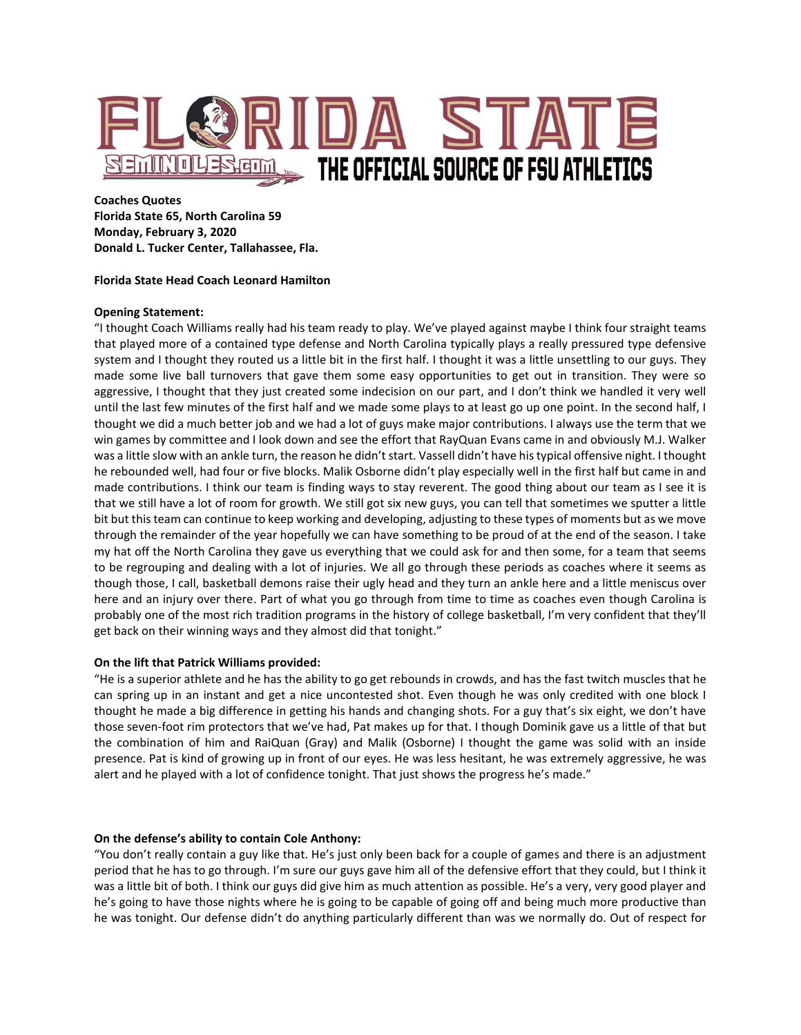

**Coaches Quotes Florida State 65, North Carolina 59 Monday, February 3, 2020 Donald L. Tucker Center, Tallahassee, Fla.**

## **Florida State Head Coach Leonard Hamilton**

# **Opening Statement:**

"I thought Coach Williams really had his team ready to play. We've played against maybe I think four straight teams that played more of a contained type defense and North Carolina typically plays a really pressured type defensive system and I thought they routed us a little bit in the first half. I thought it was a little unsettling to our guys. They made some live ball turnovers that gave them some easy opportunities to get out in transition. They were so aggressive, I thought that they just created some indecision on our part, and I don't think we handled it very well until the last few minutes of the first half and we made some plays to at least go up one point. In the second half, I thought we did a much better job and we had a lot of guys make major contributions. I always use the term that we win games by committee and I look down and see the effort that RayQuan Evans came in and obviously M.J. Walker was a little slow with an ankle turn, the reason he didn't start. Vassell didn't have his typical offensive night. I thought he rebounded well, had four or five blocks. Malik Osborne didn't play especially well in the first half but came in and made contributions. I think our team is finding ways to stay reverent. The good thing about our team as I see it is that we still have a lot of room for growth. We still got six new guys, you can tell that sometimes we sputter a little bit but this team can continue to keep working and developing, adjusting to these types of moments but as we move through the remainder of the year hopefully we can have something to be proud of at the end of the season. I take my hat off the North Carolina they gave us everything that we could ask for and then some, for a team that seems to be regrouping and dealing with a lot of injuries. We all go through these periods as coaches where it seems as though those, I call, basketball demons raise their ugly head and they turn an ankle here and a little meniscus over here and an injury over there. Part of what you go through from time to time as coaches even though Carolina is probably one of the most rich tradition programs in the history of college basketball, I'm very confident that they'll get back on their winning ways and they almost did that tonight."

# **On the lift that Patrick Williams provided:**

"He is a superior athlete and he has the ability to go get rebounds in crowds, and has the fast twitch muscles that he can spring up in an instant and get a nice uncontested shot. Even though he was only credited with one block I thought he made a big difference in getting his hands and changing shots. For a guy that's six eight, we don't have those seven-foot rim protectors that we've had, Pat makes up for that. I though Dominik gave us a little of that but the combination of him and RaiQuan (Gray) and Malik (Osborne) I thought the game was solid with an inside presence. Pat is kind of growing up in front of our eyes. He was less hesitant, he was extremely aggressive, he was alert and he played with a lot of confidence tonight. That just shows the progress he's made."

## **On the defense's ability to contain Cole Anthony:**

"You don't really contain a guy like that. He's just only been back for a couple of games and there is an adjustment period that he has to go through. I'm sure our guys gave him all of the defensive effort that they could, but I think it was a little bit of both. I think our guys did give him as much attention as possible. He's a very, very good player and he's going to have those nights where he is going to be capable of going off and being much more productive than he was tonight. Our defense didn't do anything particularly different than was we normally do. Out of respect for